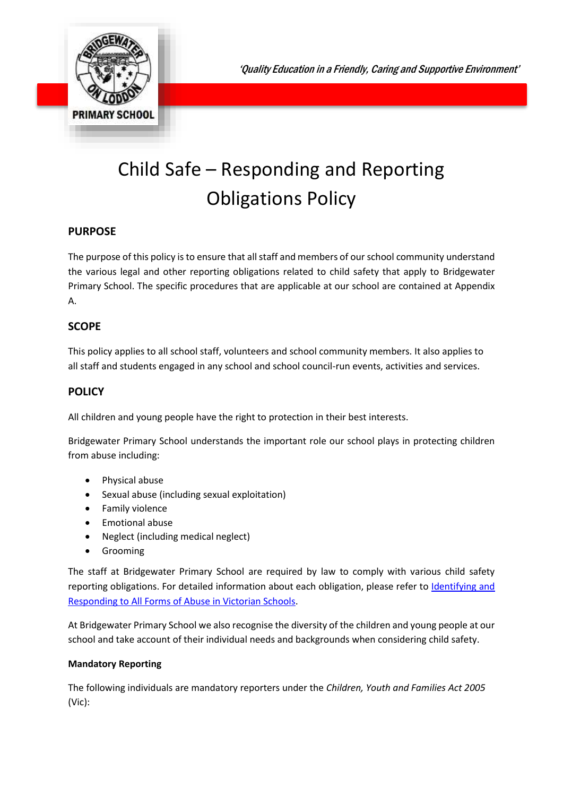'Quality Education in a Friendly, Caring and Supportive Environment'



# Child Safe – Responding and Reporting Obligations Policy

## **PURPOSE**

The purpose of this policy is to ensure that all staff and members of our school community understand the various legal and other reporting obligations related to child safety that apply to Bridgewater Primary School. The specific procedures that are applicable at our school are contained at Appendix A.

## **SCOPE**

This policy applies to all school staff, volunteers and school community members. It also applies to all staff and students engaged in any school and school council-run events, activities and services.

## **POLICY**

All children and young people have the right to protection in their best interests.

Bridgewater Primary School understands the important role our school plays in protecting children from abuse including:

- Physical abuse
- Sexual abuse (including sexual exploitation)
- **•** Family violence
- Emotional abuse
- Neglect (including medical neglect)
- Grooming

The staff at Bridgewater Primary School are required by law to comply with various child safety reporting obligations. For detailed information about each obligation, please refer to Identifying and [Responding to All Forms of Abuse in Victorian Schools.](https://www.education.vic.gov.au/Documents/about/programs/health/protect/ChildSafeStandard5_SchoolsGuide.pdf)

At Bridgewater Primary School we also recognise the diversity of the children and young people at our school and take account of their individual needs and backgrounds when considering child safety.

#### **Mandatory Reporting**

The following individuals are mandatory reporters under the *Children, Youth and Families Act 2005* (Vic):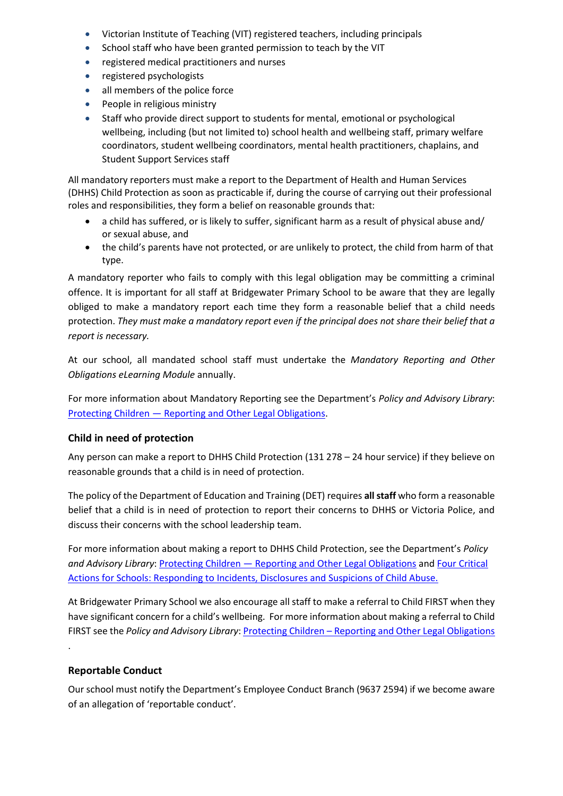- Victorian Institute of Teaching (VIT) registered teachers, including principals
- School staff who have been granted permission to teach by the VIT
- registered medical practitioners and nurses
- registered psychologists
- all members of the police force
- People in religious ministry
- Staff who provide direct support to students for mental, emotional or psychological wellbeing, including (but not limited to) school health and wellbeing staff, primary welfare coordinators, student wellbeing coordinators, mental health practitioners, chaplains, and Student Support Services staff

All mandatory reporters must make a report to the Department of Health and Human Services (DHHS) Child Protection as soon as practicable if, during the course of carrying out their professional roles and responsibilities, they form a belief on reasonable grounds that:

- a child has suffered, or is likely to suffer, significant harm as a result of physical abuse and/ or sexual abuse, and
- the child's parents have not protected, or are unlikely to protect, the child from harm of that type.

A mandatory reporter who fails to comply with this legal obligation may be committing a criminal offence. It is important for all staff at Bridgewater Primary School to be aware that they are legally obliged to make a mandatory report each time they form a reasonable belief that a child needs protection. *They must make a mandatory report even if the principal does not share their belief that a report is necessary.*

At our school, all mandated school staff must undertake the *Mandatory Reporting and Other Obligations eLearning Module* annually.

For more information about Mandatory Reporting see the Department's *Policy and Advisory Library*: Protecting Children — [Reporting and Other Legal Obligations.](https://www2.education.vic.gov.au/pal/protecting-children/policy)

## **Child in need of protection**

Any person can make a report to DHHS Child Protection (131 278 – 24 hour service) if they believe on reasonable grounds that a child is in need of protection.

The policy of the Department of Education and Training (DET) requires **all staff** who form a reasonable belief that a child is in need of protection to report their concerns to DHHS or Victoria Police, and discuss their concerns with the school leadership team.

For more information about making a report to DHHS Child Protection, see the Department's *Policy and Advisory Library*: Protecting Children — [Reporting and Other Legal Obligations](https://www2.education.vic.gov.au/pal/protecting-children/policy) and [Four Critical](https://www.education.vic.gov.au/Documents/about/programs/health/protect/FourCriticalActions_ChildAbuse.pdf)  [Actions for Schools: Responding to Incidents, Disclosures and Suspicions of Child Abuse.](https://www.education.vic.gov.au/Documents/about/programs/health/protect/FourCriticalActions_ChildAbuse.pdf)

At Bridgewater Primary School we also encourage all staff to make a referral to Child FIRST when they have significant concern for a child's wellbeing. For more information about making a referral to Child FIRST see the *Policy and Advisory Library*: Protecting Children – [Reporting and Other Legal Obligations](https://www2.education.vic.gov.au/pal/protecting-children/policy)

## **Reportable Conduct**

.

Our school must notify the Department's Employee Conduct Branch (9637 2594) if we become aware of an allegation of 'reportable conduct'.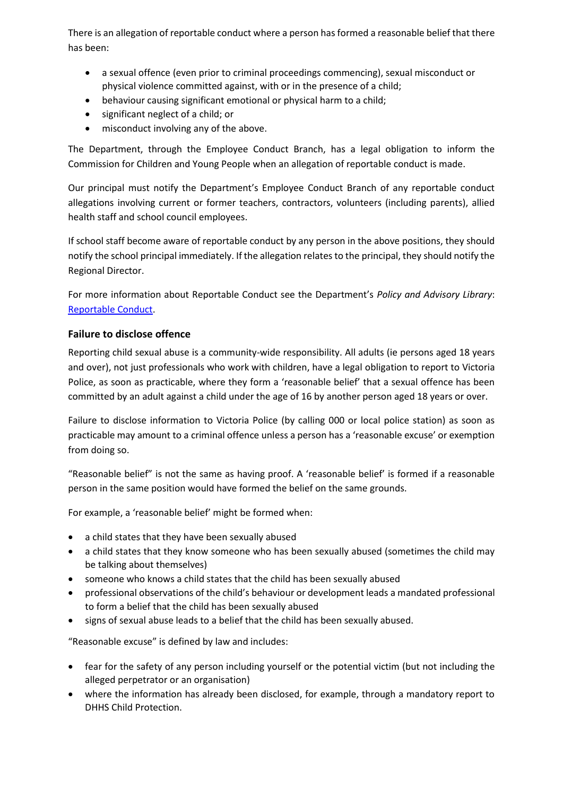There is an allegation of reportable conduct where a person has formed a reasonable belief that there has been:

- a sexual offence (even prior to criminal proceedings commencing), sexual misconduct or physical violence committed against, with or in the presence of a child;
- behaviour causing significant emotional or physical harm to a child;
- significant neglect of a child; or
- misconduct involving any of the above.

The Department, through the Employee Conduct Branch, has a legal obligation to inform the Commission for Children and Young People when an allegation of reportable conduct is made.

Our principal must notify the Department's Employee Conduct Branch of any reportable conduct allegations involving current or former teachers, contractors, volunteers (including parents), allied health staff and school council employees.

If school staff become aware of reportable conduct by any person in the above positions, they should notify the school principal immediately. If the allegation relates to the principal, they should notify the Regional Director.

For more information about Reportable Conduct see the Department's *Policy and Advisory Library*: [Reportable Conduct.](https://www2.education.vic.gov.au/pal/reportable-conduct-scheme/policy)

## **Failure to disclose offence**

Reporting child sexual abuse is a community-wide responsibility. All adults (ie persons aged 18 years and over), not just professionals who work with children, have a legal obligation to report to Victoria Police, as soon as practicable, where they form a 'reasonable belief' that a sexual offence has been committed by an adult against a child under the age of 16 by another person aged 18 years or over.

Failure to disclose information to Victoria Police (by calling 000 or local police station) as soon as practicable may amount to a criminal offence unless a person has a 'reasonable excuse' or exemption from doing so.

"Reasonable belief" is not the same as having proof. A 'reasonable belief' is formed if a reasonable person in the same position would have formed the belief on the same grounds.

For example, a 'reasonable belief' might be formed when:

- a child states that they have been sexually abused
- a child states that they know someone who has been sexually abused (sometimes the child may be talking about themselves)
- someone who knows a child states that the child has been sexually abused
- professional observations of the child's behaviour or development leads a mandated professional to form a belief that the child has been sexually abused
- signs of sexual abuse leads to a belief that the child has been sexually abused.

"Reasonable excuse" is defined by law and includes:

- fear for the safety of any person including yourself or the potential victim (but not including the alleged perpetrator or an organisation)
- where the information has already been disclosed, for example, through a mandatory report to DHHS Child Protection.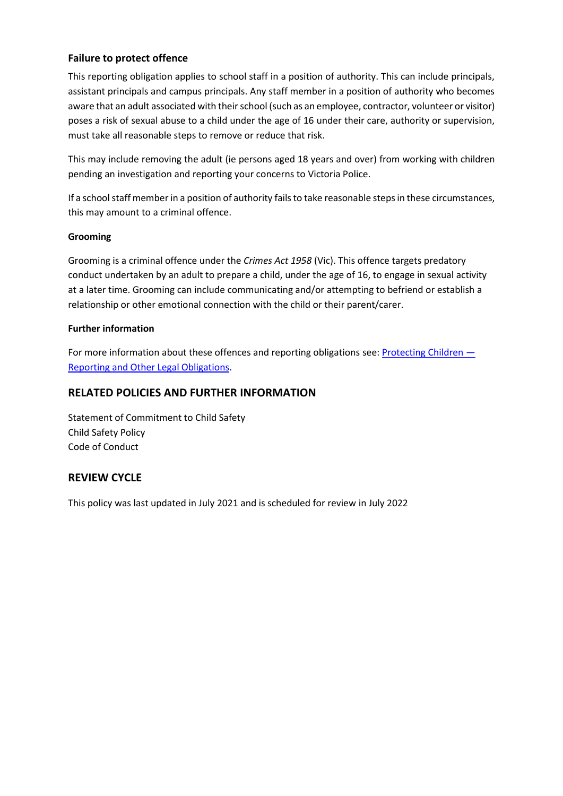## **Failure to protect offence**

This reporting obligation applies to school staff in a position of authority. This can include principals, assistant principals and campus principals. Any staff member in a position of authority who becomes aware that an adult associated with their school (such as an employee, contractor, volunteer or visitor) poses a risk of sexual abuse to a child under the age of 16 under their care, authority or supervision, must take all reasonable steps to remove or reduce that risk.

This may include removing the adult (ie persons aged 18 years and over) from working with children pending an investigation and reporting your concerns to Victoria Police.

If a school staff member in a position of authority fails to take reasonable steps in these circumstances, this may amount to a criminal offence.

#### **Grooming**

Grooming is a criminal offence under the *Crimes Act 1958* (Vic). This offence targets predatory conduct undertaken by an adult to prepare a child, under the age of 16, to engage in sexual activity at a later time. Grooming can include communicating and/or attempting to befriend or establish a relationship or other emotional connection with the child or their parent/carer.

#### **Further information**

For more information about these offences and reporting obligations see: [Protecting Children](https://www2.education.vic.gov.au/pal/protecting-children/policy) — [Reporting and Other Legal Obligations.](https://www2.education.vic.gov.au/pal/protecting-children/policy)

#### **RELATED POLICIES AND FURTHER INFORMATION**

Statement of Commitment to Child Safety Child Safety Policy Code of Conduct

## **REVIEW CYCLE**

This policy was last updated in July 2021 and is scheduled for review in July 2022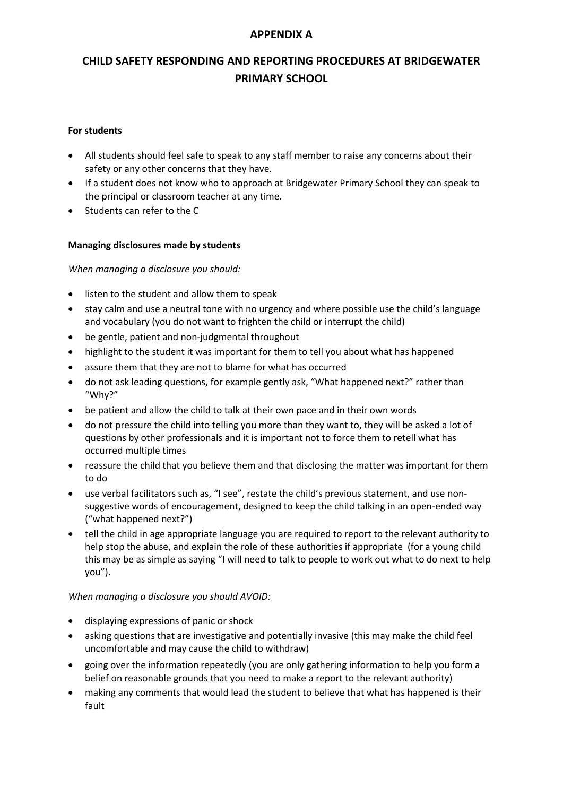## **APPENDIX A**

## **CHILD SAFETY RESPONDING AND REPORTING PROCEDURES AT BRIDGEWATER PRIMARY SCHOOL**

#### **For students**

- All students should feel safe to speak to any staff member to raise any concerns about their safety or any other concerns that they have.
- If a student does not know who to approach at Bridgewater Primary School they can speak to the principal or classroom teacher at any time.
- Students can refer to the C

#### **Managing disclosures made by students**

*When managing a disclosure you should:*

- listen to the student and allow them to speak
- stay calm and use a neutral tone with no urgency and where possible use the child's language and vocabulary (you do not want to frighten the child or interrupt the child)
- be gentle, patient and non-judgmental throughout
- highlight to the student it was important for them to tell you about what has happened
- assure them that they are not to blame for what has occurred
- do not ask leading questions, for example gently ask, "What happened next?" rather than "Why?"
- be patient and allow the child to talk at their own pace and in their own words
- do not pressure the child into telling you more than they want to, they will be asked a lot of questions by other professionals and it is important not to force them to retell what has occurred multiple times
- reassure the child that you believe them and that disclosing the matter was important for them to do
- use verbal facilitators such as, "I see", restate the child's previous statement, and use nonsuggestive words of encouragement, designed to keep the child talking in an open-ended way ("what happened next?")
- tell the child in age appropriate language you are required to report to the relevant authority to help stop the abuse, and explain the role of these authorities if appropriate (for a young child this may be as simple as saying "I will need to talk to people to work out what to do next to help you").

#### *When managing a disclosure you should AVOID:*

- displaying expressions of panic or shock
- asking questions that are investigative and potentially invasive (this may make the child feel uncomfortable and may cause the child to withdraw)
- going over the information repeatedly (you are only gathering information to help you form a belief on reasonable grounds that you need to make a report to the relevant authority)
- making any comments that would lead the student to believe that what has happened is their fault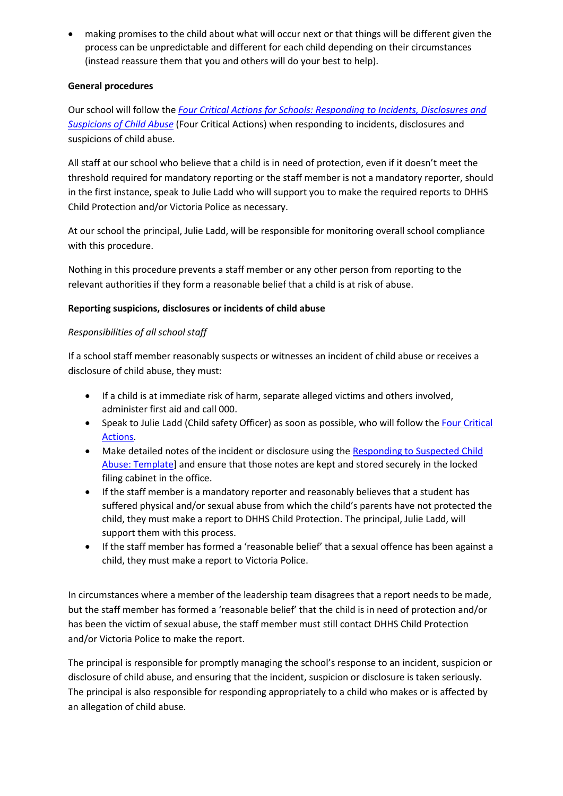making promises to the child about what will occur next or that things will be different given the process can be unpredictable and different for each child depending on their circumstances (instead reassure them that you and others will do your best to help).

## **General procedures**

Our school will follow the *[Four Critical Actions for Schools: Responding to Incidents, Disclosures and](https://www.education.vic.gov.au/Documents/about/programs/health/protect/FourCriticalActions_ChildAbuse.pdf)  [Suspicions of Child Abuse](https://www.education.vic.gov.au/Documents/about/programs/health/protect/FourCriticalActions_ChildAbuse.pdf)* (Four Critical Actions) when responding to incidents, disclosures and suspicions of child abuse.

All staff at our school who believe that a child is in need of protection, even if it doesn't meet the threshold required for mandatory reporting or the staff member is not a mandatory reporter, should in the first instance, speak to Julie Ladd who will support you to make the required reports to DHHS Child Protection and/or Victoria Police as necessary.

At our school the principal, Julie Ladd, will be responsible for monitoring overall school compliance with this procedure.

Nothing in this procedure prevents a staff member or any other person from reporting to the relevant authorities if they form a reasonable belief that a child is at risk of abuse.

## **Reporting suspicions, disclosures or incidents of child abuse**

## *Responsibilities of all school staff*

If a school staff member reasonably suspects or witnesses an incident of child abuse or receives a disclosure of child abuse, they must:

- If a child is at immediate risk of harm, separate alleged victims and others involved, administer first aid and call 000.
- Speak to Julie Ladd (Child safety Officer) as soon as possible, who will follow the [Four Critical](https://www.education.vic.gov.au/Documents/about/programs/health/protect/FourCriticalActions_ChildAbuse.pdf)  [Actions.](https://www.education.vic.gov.au/Documents/about/programs/health/protect/FourCriticalActions_ChildAbuse.pdf)
- Make detailed notes of the incident or disclosure using the Responding to Suspected Child [Abuse: Template\]](https://www.education.vic.gov.au/Documents/about/programs/health/protect/PROTECT_Schoolstemplate.pdf) and ensure that those notes are kept and stored securely in the locked filing cabinet in the office.
- If the staff member is a mandatory reporter and reasonably believes that a student has suffered physical and/or sexual abuse from which the child's parents have not protected the child, they must make a report to DHHS Child Protection. The principal, Julie Ladd, will support them with this process.
- If the staff member has formed a 'reasonable belief' that a sexual offence has been against a child, they must make a report to Victoria Police.

In circumstances where a member of the leadership team disagrees that a report needs to be made, but the staff member has formed a 'reasonable belief' that the child is in need of protection and/or has been the victim of sexual abuse, the staff member must still contact DHHS Child Protection and/or Victoria Police to make the report.

The principal is responsible for promptly managing the school's response to an incident, suspicion or disclosure of child abuse, and ensuring that the incident, suspicion or disclosure is taken seriously. The principal is also responsible for responding appropriately to a child who makes or is affected by an allegation of child abuse.